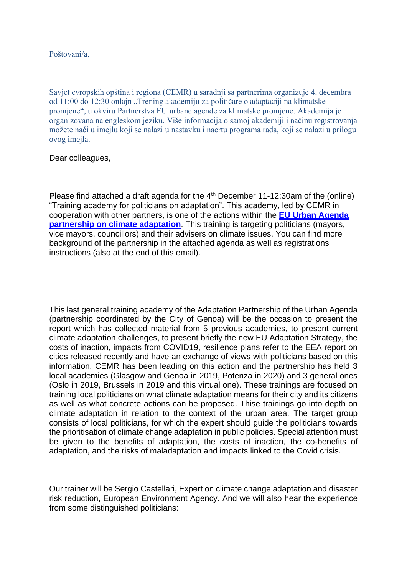## Poštovani/a,

Savjet evropskih opština i regiona (CEMR) u saradnji sa partnerima organizuje 4. decembra od 11:00 do 12:30 onlajn "Trening akademiju za političare o adaptaciji na klimatske promjene", u okviru Partnerstva EU urbane agende za klimatske promjene. Akademija je organizovana na engleskom jeziku. Više informacija o samoj akademiji i načinu registrovanja možete naći u imejlu koji se nalazi u nastavku i nacrtu programa rada, koji se nalazi u prilogu ovog imejla.

## Dear colleagues,

Please find attached a draft agenda for the  $4<sup>th</sup>$  December 11-12:30am of the (online) "Training academy for politicians on adaptation". This academy, led by CEMR in cooperation with other partners, is one of the actions within the **[EU Urban Agenda](https://ec.europa.eu/futurium/en/climate-adaptation)  [partnership on climate adaptation](https://ec.europa.eu/futurium/en/climate-adaptation)**. This training is targeting politicians (mayors, vice mayors, councillors) and their advisers on climate issues. You can find more background of the partnership in the attached agenda as well as registrations instructions (also at the end of this email).

This last general training academy of the Adaptation Partnership of the Urban Agenda (partnership coordinated by the City of Genoa) will be the occasion to present the report which has collected material from 5 previous academies, to present current climate adaptation challenges, to present briefly the new EU Adaptation Strategy, the costs of inaction, impacts from COVID19, resilience plans refer to the EEA report on cities released recently and have an exchange of views with politicians based on this information. CEMR has been leading on this action and the partnership has held 3 local academies (Glasgow and Genoa in 2019, Potenza in 2020) and 3 general ones (Oslo in 2019, Brussels in 2019 and this virtual one). These trainings are focused on training local politicians on what climate adaptation means for their city and its citizens as well as what concrete actions can be proposed. Thise trainings go into depth on climate adaptation in relation to the context of the urban area. The target group consists of local politicians, for which the expert should guide the politicians towards the prioritisation of climate change adaptation in public policies. Special attention must be given to the benefits of adaptation, the costs of inaction, the co-benefits of adaptation, and the risks of maladaptation and impacts linked to the Covid crisis.

Our trainer will be Sergio Castellari, Expert on climate change adaptation and disaster risk reduction, European Environment Agency. And we will also hear the experience from some distinguished politicians: